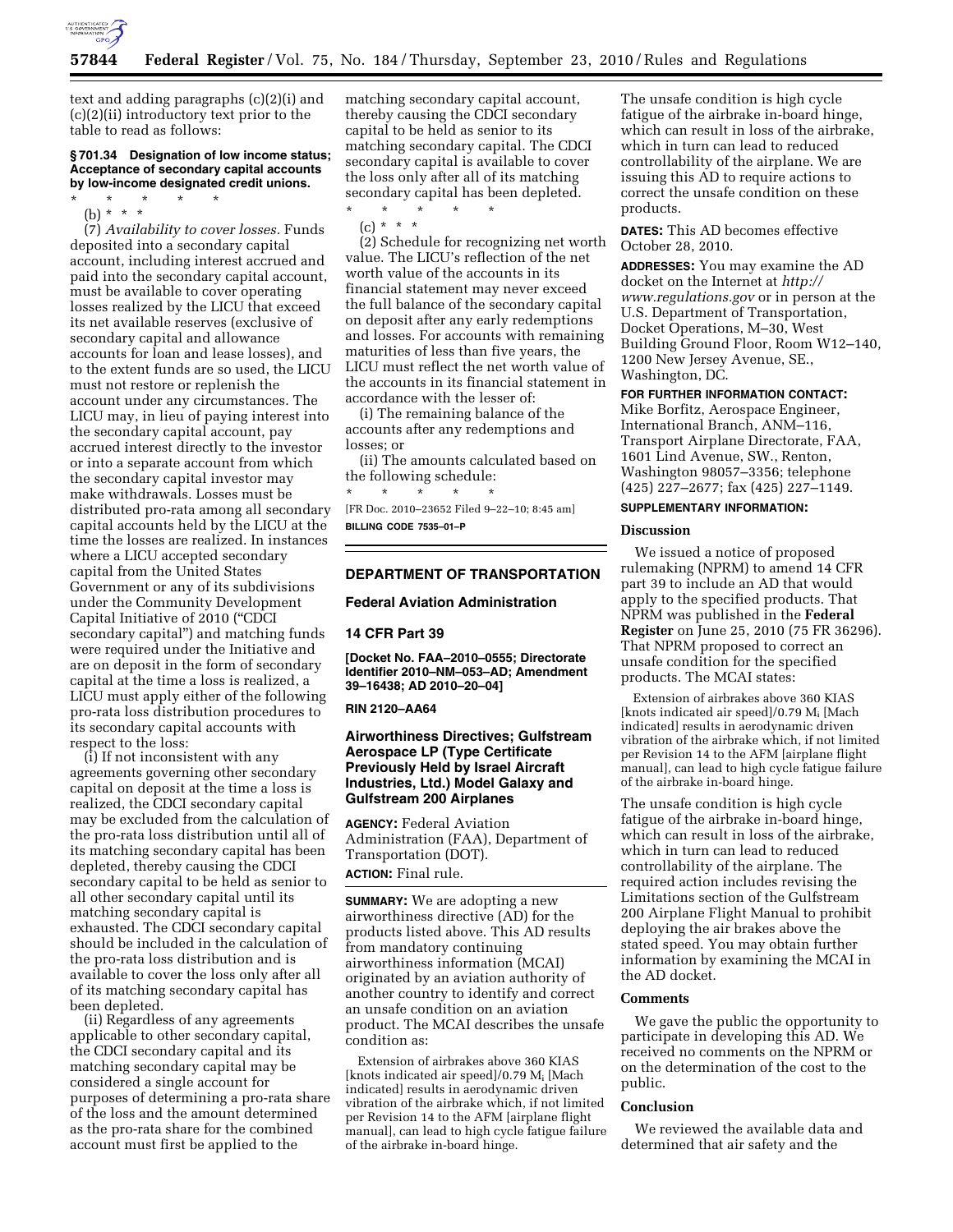

text and adding paragraphs (c)(2)(i) and (c)(2)(ii) introductory text prior to the table to read as follows:

## **§ 701.34 Designation of low income status; Acceptance of secondary capital accounts by low-income designated credit unions.**

\* \* \* \* \*

(b) \* \* \*

(7) *Availability to cover losses.* Funds deposited into a secondary capital account, including interest accrued and paid into the secondary capital account, must be available to cover operating losses realized by the LICU that exceed its net available reserves (exclusive of secondary capital and allowance accounts for loan and lease losses), and to the extent funds are so used, the LICU must not restore or replenish the account under any circumstances. The LICU may, in lieu of paying interest into the secondary capital account, pay accrued interest directly to the investor or into a separate account from which the secondary capital investor may make withdrawals. Losses must be distributed pro-rata among all secondary capital accounts held by the LICU at the time the losses are realized. In instances where a LICU accepted secondary capital from the United States Government or any of its subdivisions under the Community Development Capital Initiative of 2010 (''CDCI secondary capital'') and matching funds were required under the Initiative and are on deposit in the form of secondary capital at the time a loss is realized, a LICU must apply either of the following pro-rata loss distribution procedures to its secondary capital accounts with respect to the loss:

(i) If not inconsistent with any agreements governing other secondary capital on deposit at the time a loss is realized, the CDCI secondary capital may be excluded from the calculation of the pro-rata loss distribution until all of its matching secondary capital has been depleted, thereby causing the CDCI secondary capital to be held as senior to all other secondary capital until its matching secondary capital is exhausted. The CDCI secondary capital should be included in the calculation of the pro-rata loss distribution and is available to cover the loss only after all of its matching secondary capital has been depleted.

(ii) Regardless of any agreements applicable to other secondary capital, the CDCI secondary capital and its matching secondary capital may be considered a single account for purposes of determining a pro-rata share of the loss and the amount determined as the pro-rata share for the combined account must first be applied to the

matching secondary capital account, thereby causing the CDCI secondary capital to be held as senior to its matching secondary capital. The CDCI secondary capital is available to cover the loss only after all of its matching secondary capital has been depleted.

\* \* \* \* \* (c) \* \* \*

(2) Schedule for recognizing net worth value. The LICU's reflection of the net worth value of the accounts in its financial statement may never exceed the full balance of the secondary capital on deposit after any early redemptions and losses. For accounts with remaining maturities of less than five years, the LICU must reflect the net worth value of the accounts in its financial statement in accordance with the lesser of:

(i) The remaining balance of the accounts after any redemptions and losses; or

(ii) The amounts calculated based on the following schedule:

\* \* \* \* \* [FR Doc. 2010–23652 Filed 9–22–10; 8:45 am]

**BILLING CODE 7535–01–P** 

# **DEPARTMENT OF TRANSPORTATION**

# **Federal Aviation Administration**

# **14 CFR Part 39**

**[Docket No. FAA–2010–0555; Directorate Identifier 2010–NM–053–AD; Amendment 39–16438; AD 2010–20–04]** 

#### **RIN 2120–AA64**

# **Airworthiness Directives; Gulfstream Aerospace LP (Type Certificate Previously Held by Israel Aircraft Industries, Ltd.) Model Galaxy and Gulfstream 200 Airplanes**

**AGENCY:** Federal Aviation Administration (FAA), Department of Transportation (DOT). **ACTION:** Final rule.

**SUMMARY:** We are adopting a new airworthiness directive (AD) for the products listed above. This AD results from mandatory continuing airworthiness information (MCAI) originated by an aviation authority of another country to identify and correct an unsafe condition on an aviation product. The MCAI describes the unsafe condition as:

Extension of airbrakes above 360 KIAS [knots indicated air speed]/0.79 Mi [Mach indicated] results in aerodynamic driven vibration of the airbrake which, if not limited per Revision 14 to the AFM [airplane flight manual], can lead to high cycle fatigue failure of the airbrake in-board hinge.

The unsafe condition is high cycle fatigue of the airbrake in-board hinge, which can result in loss of the airbrake, which in turn can lead to reduced controllability of the airplane. We are issuing this AD to require actions to correct the unsafe condition on these products.

**DATES:** This AD becomes effective October 28, 2010.

**ADDRESSES:** You may examine the AD docket on the Internet at *[http://](http://www.regulations.gov)  [www.regulations.gov](http://www.regulations.gov)* or in person at the U.S. Department of Transportation, Docket Operations, M–30, West Building Ground Floor, Room W12–140, 1200 New Jersey Avenue, SE., Washington, DC.

# **FOR FURTHER INFORMATION CONTACT:**

Mike Borfitz, Aerospace Engineer, International Branch, ANM–116, Transport Airplane Directorate, FAA, 1601 Lind Avenue, SW., Renton, Washington 98057–3356; telephone (425) 227–2677; fax (425) 227–1149.

# **SUPPLEMENTARY INFORMATION:**

## **Discussion**

We issued a notice of proposed rulemaking (NPRM) to amend 14 CFR part 39 to include an AD that would apply to the specified products. That NPRM was published in the **Federal Register** on June 25, 2010 (75 FR 36296). That NPRM proposed to correct an unsafe condition for the specified products. The MCAI states:

Extension of airbrakes above 360 KIAS [knots indicated air speed]/0.79 Mi [Mach indicated] results in aerodynamic driven vibration of the airbrake which, if not limited per Revision 14 to the AFM [airplane flight manual], can lead to high cycle fatigue failure of the airbrake in-board hinge.

The unsafe condition is high cycle fatigue of the airbrake in-board hinge, which can result in loss of the airbrake, which in turn can lead to reduced controllability of the airplane. The required action includes revising the Limitations section of the Gulfstream 200 Airplane Flight Manual to prohibit deploying the air brakes above the stated speed. You may obtain further information by examining the MCAI in the AD docket.

# **Comments**

We gave the public the opportunity to participate in developing this AD. We received no comments on the NPRM or on the determination of the cost to the public.

#### **Conclusion**

We reviewed the available data and determined that air safety and the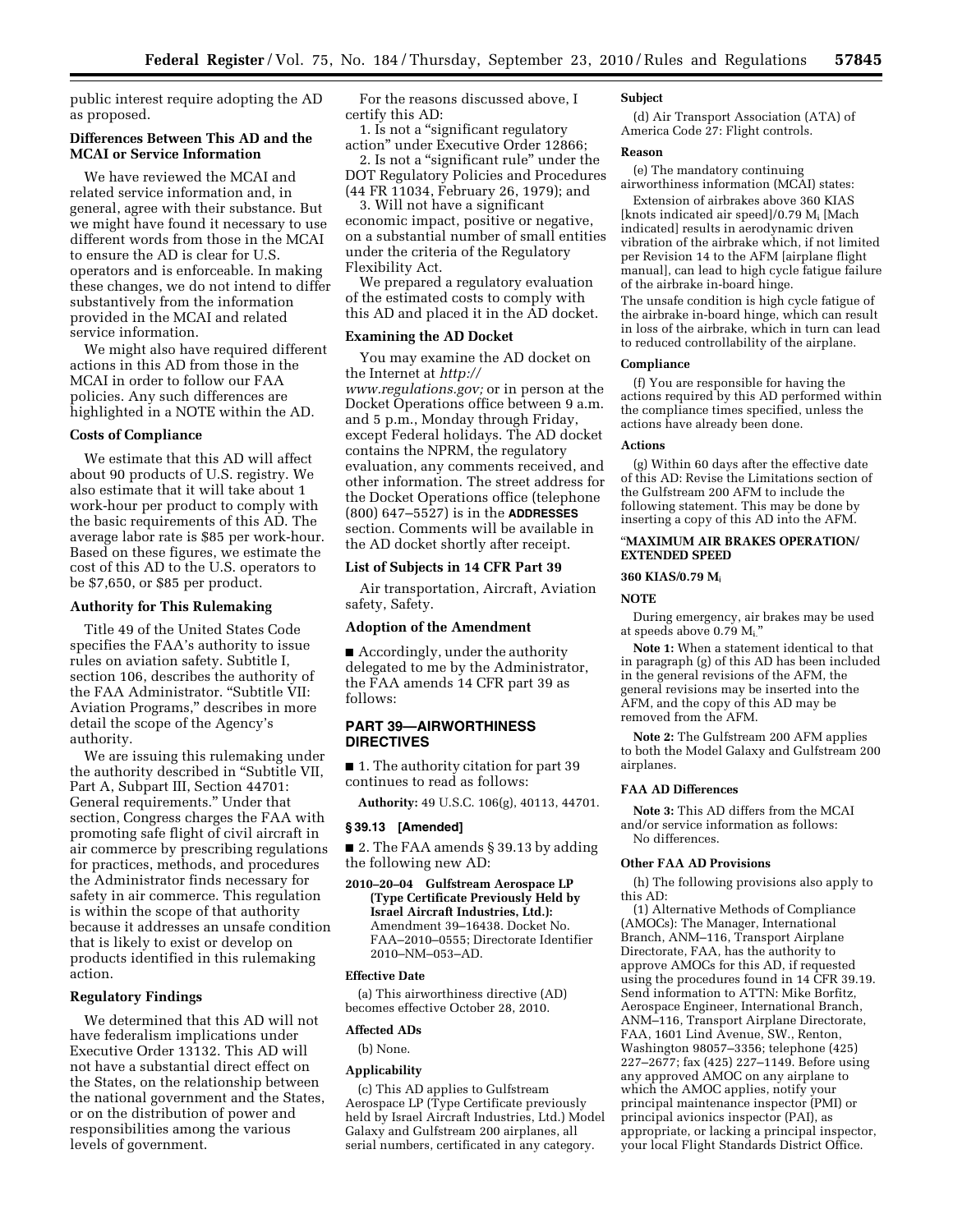public interest require adopting the AD as proposed.

# **Differences Between This AD and the MCAI or Service Information**

We have reviewed the MCAI and related service information and, in general, agree with their substance. But we might have found it necessary to use different words from those in the MCAI to ensure the AD is clear for U.S. operators and is enforceable. In making these changes, we do not intend to differ substantively from the information provided in the MCAI and related service information.

We might also have required different actions in this AD from those in the MCAI in order to follow our FAA policies. Any such differences are highlighted in a NOTE within the AD.

# **Costs of Compliance**

We estimate that this AD will affect about 90 products of U.S. registry. We also estimate that it will take about 1 work-hour per product to comply with the basic requirements of this AD. The average labor rate is \$85 per work-hour. Based on these figures, we estimate the cost of this AD to the U.S. operators to be \$7,650, or \$85 per product.

## **Authority for This Rulemaking**

Title 49 of the United States Code specifies the FAA's authority to issue rules on aviation safety. Subtitle I, section 106, describes the authority of the FAA Administrator. ''Subtitle VII: Aviation Programs,'' describes in more detail the scope of the Agency's authority.

We are issuing this rulemaking under the authority described in ''Subtitle VII, Part A, Subpart III, Section 44701: General requirements.'' Under that section, Congress charges the FAA with promoting safe flight of civil aircraft in air commerce by prescribing regulations for practices, methods, and procedures the Administrator finds necessary for safety in air commerce. This regulation is within the scope of that authority because it addresses an unsafe condition that is likely to exist or develop on products identified in this rulemaking action.

# **Regulatory Findings**

We determined that this AD will not have federalism implications under Executive Order 13132. This AD will not have a substantial direct effect on the States, on the relationship between the national government and the States, or on the distribution of power and responsibilities among the various levels of government.

For the reasons discussed above, I certify this AD:

1. Is not a ''significant regulatory action'' under Executive Order 12866; 2. Is not a "significant rule" under the

DOT Regulatory Policies and Procedures (44 FR 11034, February 26, 1979); and

3. Will not have a significant economic impact, positive or negative, on a substantial number of small entities under the criteria of the Regulatory Flexibility Act.

We prepared a regulatory evaluation of the estimated costs to comply with this AD and placed it in the AD docket.

## **Examining the AD Docket**

You may examine the AD docket on the Internet at *[http://](http://www.regulations.gov)  [www.regulations.gov;](http://www.regulations.gov)* or in person at the Docket Operations office between 9 a.m. and 5 p.m., Monday through Friday, except Federal holidays. The AD docket contains the NPRM, the regulatory evaluation, any comments received, and other information. The street address for the Docket Operations office (telephone (800) 647–5527) is in the **ADDRESSES** section. Comments will be available in the AD docket shortly after receipt.

#### **List of Subjects in 14 CFR Part 39**

Air transportation, Aircraft, Aviation safety, Safety.

# **Adoption of the Amendment**

■ Accordingly, under the authority delegated to me by the Administrator, the FAA amends 14 CFR part 39 as follows:

# **PART 39—AIRWORTHINESS DIRECTIVES**

■ 1. The authority citation for part 39 continues to read as follows:

**Authority:** 49 U.S.C. 106(g), 40113, 44701.

#### **§ 39.13 [Amended]**

■ 2. The FAA amends § 39.13 by adding the following new AD:

**2010–20–04 Gulfstream Aerospace LP (Type Certificate Previously Held by Israel Aircraft Industries, Ltd.):**  Amendment 39–16438. Docket No. FAA–2010–0555; Directorate Identifier 2010–NM–053–AD.

## **Effective Date**

(a) This airworthiness directive (AD) becomes effective October 28, 2010.

#### **Affected ADs**

(b) None.

#### **Applicability**

(c) This AD applies to Gulfstream Aerospace LP (Type Certificate previously held by Israel Aircraft Industries, Ltd.) Model Galaxy and Gulfstream 200 airplanes, all serial numbers, certificated in any category.

### **Subject**

(d) Air Transport Association (ATA) of America Code 27: Flight controls.

## **Reason**

(e) The mandatory continuing airworthiness information (MCAI) states:

Extension of airbrakes above 360 KIAS [knots indicated air speed]/0.79 Mi [Mach indicated] results in aerodynamic driven vibration of the airbrake which, if not limited per Revision 14 to the AFM [airplane flight manual], can lead to high cycle fatigue failure of the airbrake in-board hinge.

The unsafe condition is high cycle fatigue of the airbrake in-board hinge, which can result in loss of the airbrake, which in turn can lead to reduced controllability of the airplane.

#### **Compliance**

(f) You are responsible for having the actions required by this AD performed within the compliance times specified, unless the actions have already been done.

### **Actions**

(g) Within 60 days after the effective date of this AD: Revise the Limitations section of the Gulfstream 200 AFM to include the following statement. This may be done by inserting a copy of this AD into the AFM.

## ''**MAXIMUM AIR BRAKES OPERATION/ EXTENDED SPEED**

#### **360 KIAS/0.79 M**i

# **NOTE**

During emergency, air brakes may be used at speeds above 0.79 Mi.''

**Note 1:** When a statement identical to that in paragraph (g) of this AD has been included in the general revisions of the AFM, the general revisions may be inserted into the AFM, and the copy of this AD may be removed from the AFM.

**Note 2:** The Gulfstream 200 AFM applies to both the Model Galaxy and Gulfstream 200 airplanes.

## **FAA AD Differences**

**Note 3:** This AD differs from the MCAI and/or service information as follows: No differences.

## **Other FAA AD Provisions**

(h) The following provisions also apply to this AD:

(1) Alternative Methods of Compliance (AMOCs): The Manager, International Branch, ANM–116, Transport Airplane Directorate, FAA, has the authority to approve AMOCs for this AD, if requested using the procedures found in 14 CFR 39.19. Send information to ATTN: Mike Borfitz, Aerospace Engineer, International Branch, ANM–116, Transport Airplane Directorate, FAA, 1601 Lind Avenue, SW., Renton, Washington 98057–3356; telephone (425) 227–2677; fax (425) 227–1149. Before using any approved AMOC on any airplane to which the AMOC applies, notify your principal maintenance inspector (PMI) or principal avionics inspector (PAI), as appropriate, or lacking a principal inspector, your local Flight Standards District Office.